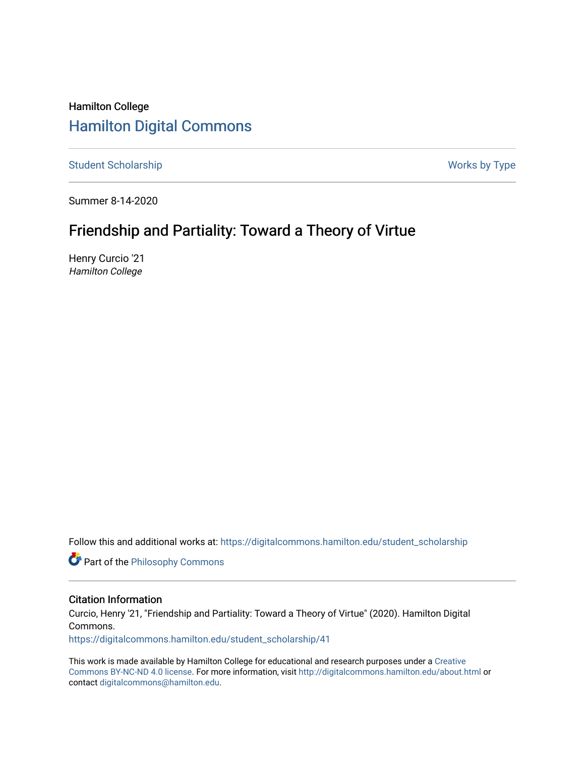# Hamilton College [Hamilton Digital Commons](https://digitalcommons.hamilton.edu/)

[Student Scholarship](https://digitalcommons.hamilton.edu/student_scholarship) Works by Type

Summer 8-14-2020

# Friendship and Partiality: Toward a Theory of Virtue

Henry Curcio '21 Hamilton College

Follow this and additional works at: [https://digitalcommons.hamilton.edu/student\\_scholarship](https://digitalcommons.hamilton.edu/student_scholarship?utm_source=digitalcommons.hamilton.edu%2Fstudent_scholarship%2F41&utm_medium=PDF&utm_campaign=PDFCoverPages) 

**Part of the Philosophy Commons** 

# Citation Information

Curcio, Henry '21, "Friendship and Partiality: Toward a Theory of Virtue" (2020). Hamilton Digital Commons.

[https://digitalcommons.hamilton.edu/student\\_scholarship/41](https://digitalcommons.hamilton.edu/student_scholarship/41?utm_source=digitalcommons.hamilton.edu%2Fstudent_scholarship%2F41&utm_medium=PDF&utm_campaign=PDFCoverPages)

This work is made available by Hamilton College for educational and research purposes under a [Creative](https://creativecommons.org/licenses/by-nc-nd/4.0/)  [Commons BY-NC-ND 4.0 license.](https://creativecommons.org/licenses/by-nc-nd/4.0/) For more information, visit <http://digitalcommons.hamilton.edu/about.html> or contact [digitalcommons@hamilton.edu.](mailto:digitalcommons@hamilton.edu)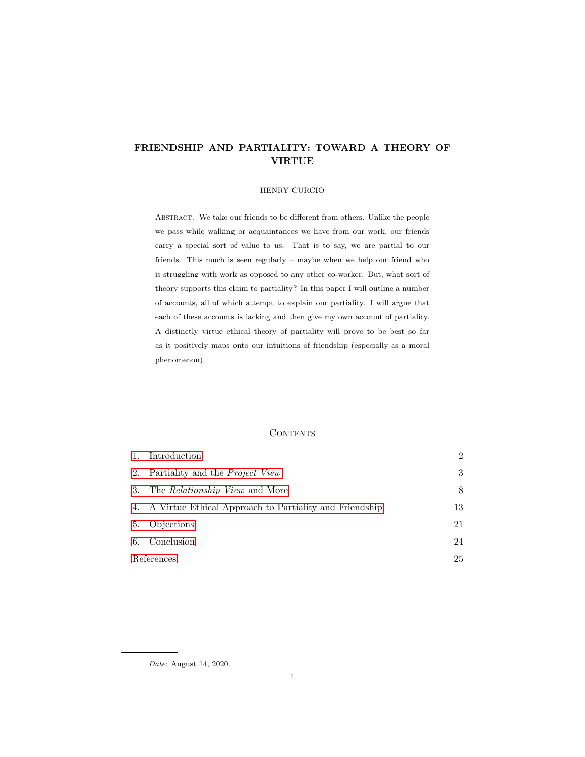# <span id="page-1-0"></span>FRIENDSHIP AND PARTIALITY: TOWARD A THEORY OF VIRTUE

# HENRY CURCIO

Abstract. We take our friends to be different from others. Unlike the people we pass while walking or acquaintances we have from our work, our friends carry a special sort of value to us. That is to say, we are partial to our friends. This much is seen regularly – maybe when we help our friend who is struggling with work as opposed to any other co-worker. But, what sort of theory supports this claim to partiality? In this paper I will outline a number of accounts, all of which attempt to explain our partiality. I will argue that each of these accounts is lacking and then give my own account of partiality. A distinctly virtue ethical theory of partiality will prove to be best so far as it positively maps onto our intuitions of friendship (especially as a moral phenomenon).

#### CONTENTS

| 1.         | Introduction                                              | $\mathfrak{D}$ |
|------------|-----------------------------------------------------------|----------------|
|            | 2. Partiality and the <i>Project View</i>                 | 3              |
|            | 3. The <i>Relationship View</i> and More                  | 8              |
|            | 4. A Virtue Ethical Approach to Partiality and Friendship | 13             |
| 5.         | Objections                                                | 21             |
| 6.         | Conclusion                                                | 24             |
| References |                                                           | 25             |

Date: August 14, 2020.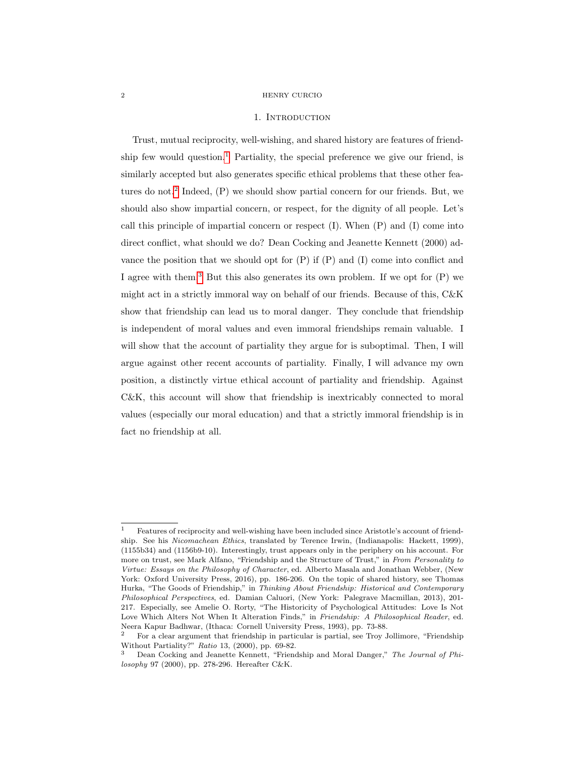#### 1. INTRODUCTION

<span id="page-2-0"></span>Trust, mutual reciprocity, well-wishing, and shared history are features of friend-ship few would question.<sup>[1](#page-1-0)</sup> Partiality, the special preference we give our friend, is similarly accepted but also generates specific ethical problems that these other fea-tures do not.<sup>[2](#page-1-0)</sup> Indeed, (P) we should show partial concern for our friends. But, we should also show impartial concern, or respect, for the dignity of all people. Let's call this principle of impartial concern or respect  $(I)$ . When  $(P)$  and  $(I)$  come into direct conflict, what should we do? Dean Cocking and Jeanette Kennett (2000) advance the position that we should opt for  $(P)$  if  $(P)$  and  $(I)$  come into conflict and I agree with them.[3](#page-1-0) But this also generates its own problem. If we opt for (P) we might act in a strictly immoral way on behalf of our friends. Because of this, C&K show that friendship can lead us to moral danger. They conclude that friendship is independent of moral values and even immoral friendships remain valuable. I will show that the account of partiality they argue for is suboptimal. Then, I will argue against other recent accounts of partiality. Finally, I will advance my own position, a distinctly virtue ethical account of partiality and friendship. Against C&K, this account will show that friendship is inextricably connected to moral values (especially our moral education) and that a strictly immoral friendship is in fact no friendship at all.

<sup>1</sup> Features of reciprocity and well-wishing have been included since Aristotle's account of friendship. See his Nicomachean Ethics, translated by Terence Irwin, (Indianapolis: Hackett, 1999), (1155b34) and (1156b9-10). Interestingly, trust appears only in the periphery on his account. For more on trust, see Mark Alfano, "Friendship and the Structure of Trust," in From Personality to Virtue: Essays on the Philosophy of Character, ed. Alberto Masala and Jonathan Webber, (New York: Oxford University Press, 2016), pp. 186-206. On the topic of shared history, see Thomas Hurka, "The Goods of Friendship," in Thinking About Friendship: Historical and Contemporary Philosophical Perspectives, ed. Damian Caluori, (New York: Palegrave Macmillan, 2013), 201- 217. Especially, see Amelie O. Rorty, "The Historicity of Psychological Attitudes: Love Is Not Love Which Alters Not When It Alteration Finds," in Friendship: A Philosophical Reader, ed. Neera Kapur Badhwar, (Ithaca: Cornell University Press, 1993), pp. 73-88.

<sup>2</sup> For a clear argument that friendship in particular is partial, see Troy Jollimore, "Friendship Without Partiality?" Ratio 13, (2000), pp. 69-82.

Dean Cocking and Jeanette Kennett, "Friendship and Moral Danger," The Journal of Philosophy 97 (2000), pp. 278-296. Hereafter C&K.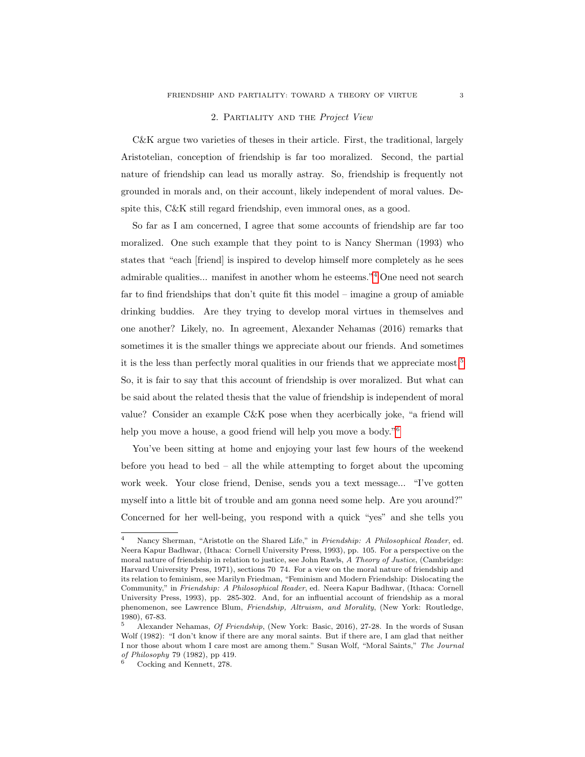### 2. Partiality and the Project View

<span id="page-3-0"></span>C&K argue two varieties of theses in their article. First, the traditional, largely Aristotelian, conception of friendship is far too moralized. Second, the partial nature of friendship can lead us morally astray. So, friendship is frequently not grounded in morals and, on their account, likely independent of moral values. Despite this, C&K still regard friendship, even immoral ones, as a good.

So far as I am concerned, I agree that some accounts of friendship are far too moralized. One such example that they point to is Nancy Sherman (1993) who states that "each [friend] is inspired to develop himself more completely as he sees admirable qualities... manifest in another whom he esteems."[4](#page-1-0) One need not search far to find friendships that don't quite fit this model – imagine a group of amiable drinking buddies. Are they trying to develop moral virtues in themselves and one another? Likely, no. In agreement, Alexander Nehamas (2016) remarks that sometimes it is the smaller things we appreciate about our friends. And sometimes it is the less than perfectly moral qualities in our friends that we appreciate most.[5](#page-1-0) So, it is fair to say that this account of friendship is over moralized. But what can be said about the related thesis that the value of friendship is independent of moral value? Consider an example C&K pose when they acerbically joke, "a friend will help you move a house, a good friend will help you move a body."<sup>[6](#page-1-0)</sup>

You've been sitting at home and enjoying your last few hours of the weekend before you head to bed – all the while attempting to forget about the upcoming work week. Your close friend, Denise, sends you a text message... "I've gotten myself into a little bit of trouble and am gonna need some help. Are you around?" Concerned for her well-being, you respond with a quick "yes" and she tells you

Nancy Sherman, "Aristotle on the Shared Life," in Friendship: A Philosophical Reader, ed. Neera Kapur Badhwar, (Ithaca: Cornell University Press, 1993), pp. 105. For a perspective on the moral nature of friendship in relation to justice, see John Rawls, A Theory of Justice, (Cambridge: Harvard University Press, 1971), sections 70 74. For a view on the moral nature of friendship and its relation to feminism, see Marilyn Friedman, "Feminism and Modern Friendship: Dislocating the Community," in Friendship: A Philosophical Reader, ed. Neera Kapur Badhwar, (Ithaca: Cornell University Press, 1993), pp. 285-302. And, for an influential account of friendship as a moral phenomenon, see Lawrence Blum, Friendship, Altruism, and Morality, (New York: Routledge, 1980), 67-83.

<sup>5</sup> Alexander Nehamas, Of Friendship, (New York: Basic, 2016), 27-28. In the words of Susan Wolf (1982): "I don't know if there are any moral saints. But if there are, I am glad that neither I nor those about whom I care most are among them." Susan Wolf, "Moral Saints," The Journal of Philosophy 79 (1982), pp 419.

<sup>6</sup> Cocking and Kennett, 278.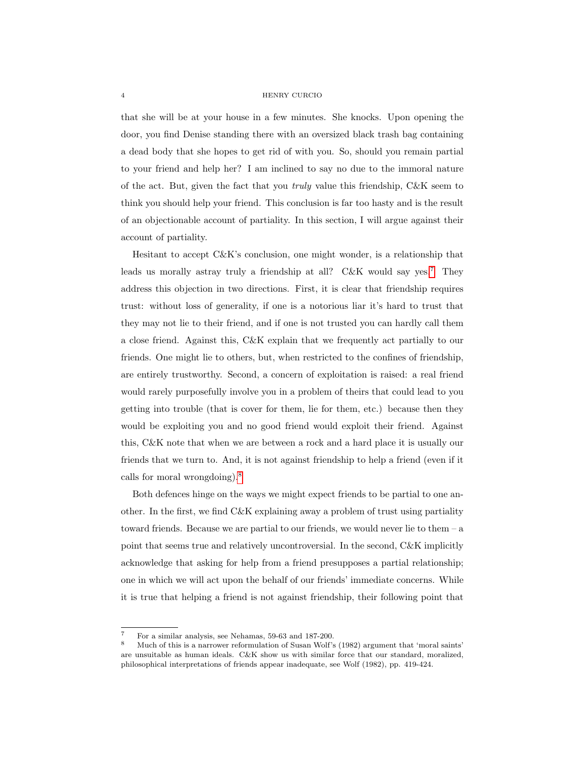that she will be at your house in a few minutes. She knocks. Upon opening the door, you find Denise standing there with an oversized black trash bag containing a dead body that she hopes to get rid of with you. So, should you remain partial to your friend and help her? I am inclined to say no due to the immoral nature of the act. But, given the fact that you truly value this friendship, C&K seem to think you should help your friend. This conclusion is far too hasty and is the result of an objectionable account of partiality. In this section, I will argue against their account of partiality.

Hesitant to accept C&K's conclusion, one might wonder, is a relationship that leads us morally astray truly a friendship at all?  $C&K$  would say yes.<sup>[7](#page-1-0)</sup> They address this objection in two directions. First, it is clear that friendship requires trust: without loss of generality, if one is a notorious liar it's hard to trust that they may not lie to their friend, and if one is not trusted you can hardly call them a close friend. Against this, C&K explain that we frequently act partially to our friends. One might lie to others, but, when restricted to the confines of friendship, are entirely trustworthy. Second, a concern of exploitation is raised: a real friend would rarely purposefully involve you in a problem of theirs that could lead to you getting into trouble (that is cover for them, lie for them, etc.) because then they would be exploiting you and no good friend would exploit their friend. Against this, C&K note that when we are between a rock and a hard place it is usually our friends that we turn to. And, it is not against friendship to help a friend (even if it calls for moral wrongdoing).[8](#page-1-0)

Both defences hinge on the ways we might expect friends to be partial to one another. In the first, we find  $C\&K$  explaining away a problem of trust using partiality toward friends. Because we are partial to our friends, we would never lie to them – a point that seems true and relatively uncontroversial. In the second, C&K implicitly acknowledge that asking for help from a friend presupposes a partial relationship; one in which we will act upon the behalf of our friends' immediate concerns. While it is true that helping a friend is not against friendship, their following point that

<sup>7</sup> For a similar analysis, see Nehamas, 59-63 and 187-200.

<sup>8</sup> Much of this is a narrower reformulation of Susan Wolf's (1982) argument that 'moral saints' are unsuitable as human ideals. C&K show us with similar force that our standard, moralized, philosophical interpretations of friends appear inadequate, see Wolf (1982), pp. 419-424.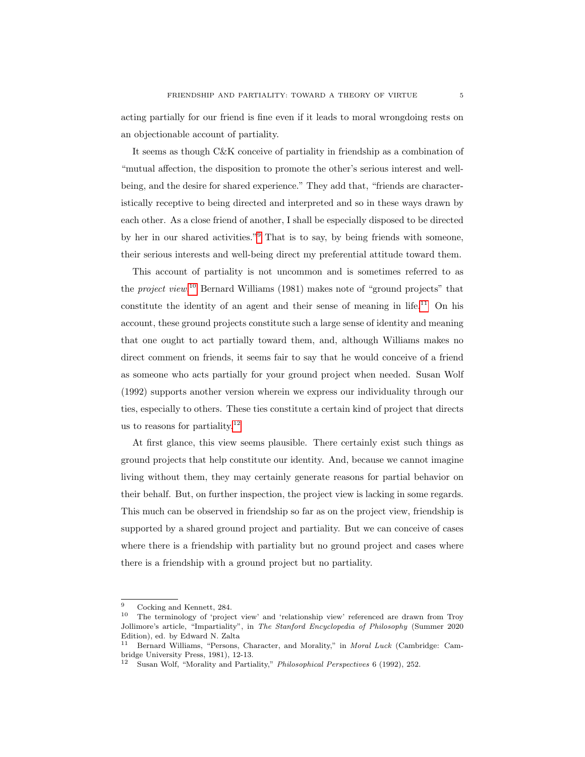acting partially for our friend is fine even if it leads to moral wrongdoing rests on an objectionable account of partiality.

It seems as though C&K conceive of partiality in friendship as a combination of "mutual affection, the disposition to promote the other's serious interest and wellbeing, and the desire for shared experience." They add that, "friends are characteristically receptive to being directed and interpreted and so in these ways drawn by each other. As a close friend of another, I shall be especially disposed to be directed by her in our shared activities."[9](#page-1-0) That is to say, by being friends with someone, their serious interests and well-being direct my preferential attitude toward them.

This account of partiality is not uncommon and is sometimes referred to as the *project view*.<sup>[10](#page-1-0)</sup> Bernard Williams (1981) makes note of "ground projects" that constitute the identity of an agent and their sense of meaning in life.<sup>[11](#page-1-0)</sup> On his account, these ground projects constitute such a large sense of identity and meaning that one ought to act partially toward them, and, although Williams makes no direct comment on friends, it seems fair to say that he would conceive of a friend as someone who acts partially for your ground project when needed. Susan Wolf (1992) supports another version wherein we express our individuality through our ties, especially to others. These ties constitute a certain kind of project that directs us to reasons for partiality. $12$ 

At first glance, this view seems plausible. There certainly exist such things as ground projects that help constitute our identity. And, because we cannot imagine living without them, they may certainly generate reasons for partial behavior on their behalf. But, on further inspection, the project view is lacking in some regards. This much can be observed in friendship so far as on the project view, friendship is supported by a shared ground project and partiality. But we can conceive of cases where there is a friendship with partiality but no ground project and cases where there is a friendship with a ground project but no partiality.

 $\frac{9}{10}$  Cocking and Kennett, 284.

<sup>10</sup> The terminology of 'project view' and 'relationship view' referenced are drawn from Troy Jollimore's article, "Impartiality", in The Stanford Encyclopedia of Philosophy (Summer 2020 Edition), ed. by Edward N. Zalta

<sup>11</sup> Bernard Williams, "Persons, Character, and Morality," in Moral Luck (Cambridge: Cambridge University Press, 1981), 12-13.

<sup>12</sup> Susan Wolf, "Morality and Partiality," Philosophical Perspectives 6 (1992), 252.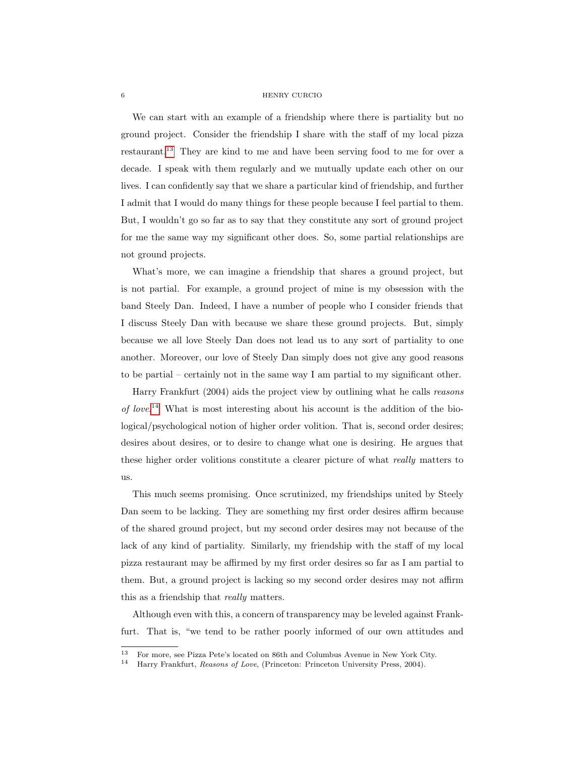We can start with an example of a friendship where there is partiality but no ground project. Consider the friendship I share with the staff of my local pizza restaurant.[13](#page-1-0) They are kind to me and have been serving food to me for over a decade. I speak with them regularly and we mutually update each other on our lives. I can confidently say that we share a particular kind of friendship, and further I admit that I would do many things for these people because I feel partial to them. But, I wouldn't go so far as to say that they constitute any sort of ground project for me the same way my significant other does. So, some partial relationships are not ground projects.

What's more, we can imagine a friendship that shares a ground project, but is not partial. For example, a ground project of mine is my obsession with the band Steely Dan. Indeed, I have a number of people who I consider friends that I discuss Steely Dan with because we share these ground projects. But, simply because we all love Steely Dan does not lead us to any sort of partiality to one another. Moreover, our love of Steely Dan simply does not give any good reasons to be partial – certainly not in the same way I am partial to my significant other.

Harry Frankfurt (2004) aids the project view by outlining what he calls reasons of love. [14](#page-1-0) What is most interesting about his account is the addition of the biological/psychological notion of higher order volition. That is, second order desires; desires about desires, or to desire to change what one is desiring. He argues that these higher order volitions constitute a clearer picture of what really matters to us.

This much seems promising. Once scrutinized, my friendships united by Steely Dan seem to be lacking. They are something my first order desires affirm because of the shared ground project, but my second order desires may not because of the lack of any kind of partiality. Similarly, my friendship with the staff of my local pizza restaurant may be affirmed by my first order desires so far as I am partial to them. But, a ground project is lacking so my second order desires may not affirm this as a friendship that really matters.

Although even with this, a concern of transparency may be leveled against Frankfurt. That is, "we tend to be rather poorly informed of our own attitudes and

<sup>&</sup>lt;sup>13</sup> For more, see Pizza Pete's located on 86th and Columbus Avenue in New York City.<br><sup>14</sup> Harman Frankfurt, *Russian and Lune (Directory Directory University Passe* 2004)

<sup>14</sup> Harry Frankfurt, Reasons of Love, (Princeton: Princeton University Press, 2004).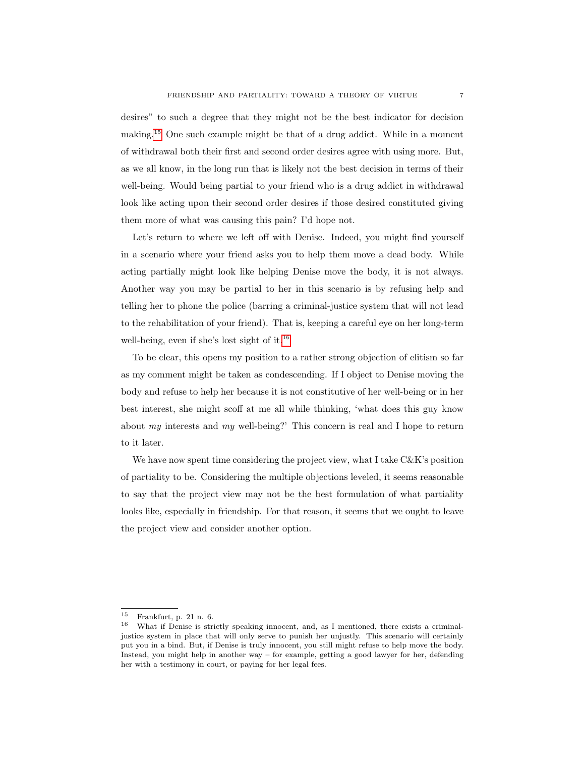desires" to such a degree that they might not be the best indicator for decision making.[15](#page-1-0) One such example might be that of a drug addict. While in a moment of withdrawal both their first and second order desires agree with using more. But, as we all know, in the long run that is likely not the best decision in terms of their well-being. Would being partial to your friend who is a drug addict in withdrawal look like acting upon their second order desires if those desired constituted giving them more of what was causing this pain? I'd hope not.

Let's return to where we left off with Denise. Indeed, you might find yourself in a scenario where your friend asks you to help them move a dead body. While acting partially might look like helping Denise move the body, it is not always. Another way you may be partial to her in this scenario is by refusing help and telling her to phone the police (barring a criminal-justice system that will not lead to the rehabilitation of your friend). That is, keeping a careful eye on her long-term well-being, even if she's lost sight of it.<sup>[16](#page-1-0)</sup>

To be clear, this opens my position to a rather strong objection of elitism so far as my comment might be taken as condescending. If I object to Denise moving the body and refuse to help her because it is not constitutive of her well-being or in her best interest, she might scoff at me all while thinking, 'what does this guy know about  $my$  interests and  $my$  well-being?' This concern is real and I hope to return to it later.

We have now spent time considering the project view, what I take  $C\&K$ 's position of partiality to be. Considering the multiple objections leveled, it seems reasonable to say that the project view may not be the best formulation of what partiality looks like, especially in friendship. For that reason, it seems that we ought to leave the project view and consider another option.

<sup>&</sup>lt;sup>15</sup> Frankfurt, p. 21 n. 6.<br> $\frac{16}{16}$  What if Danies is stri

<sup>16</sup> What if Denise is strictly speaking innocent, and, as I mentioned, there exists a criminaljustice system in place that will only serve to punish her unjustly. This scenario will certainly put you in a bind. But, if Denise is truly innocent, you still might refuse to help move the body. Instead, you might help in another way – for example, getting a good lawyer for her, defending her with a testimony in court, or paying for her legal fees.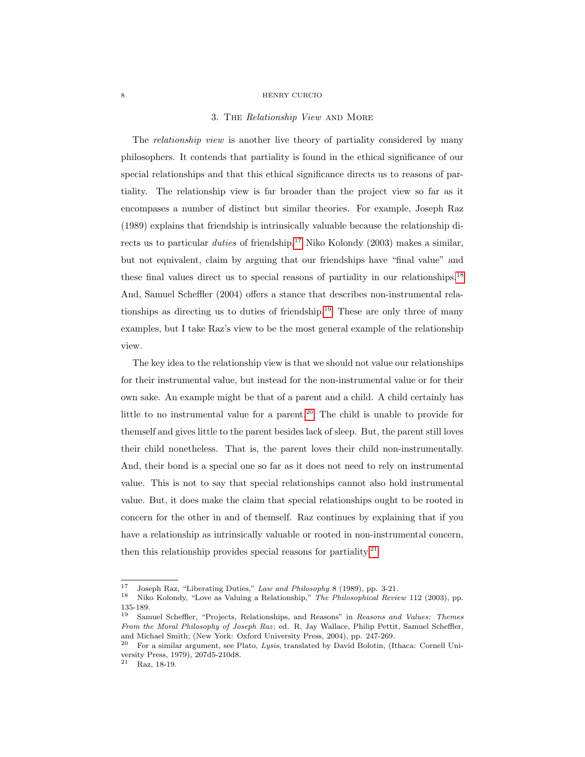#### 3. THE Relationship View AND MORE

<span id="page-8-0"></span>The *relationship view* is another live theory of partiality considered by many philosophers. It contends that partiality is found in the ethical significance of our special relationships and that this ethical significance directs us to reasons of partiality. The relationship view is far broader than the project view so far as it encompases a number of distinct but similar theories. For example, Joseph Raz (1989) explains that friendship is intrinsically valuable because the relationship directs us to particular *duties* of friendship.<sup>[17](#page-1-0)</sup> Niko Kolondy (2003) makes a similar, but not equivalent, claim by arguing that our friendships have "final value" and these final values direct us to special reasons of partiality in our relationships.[18](#page-1-0) And, Samuel Scheffler (2004) offers a stance that describes non-instrumental rela-tionships as directing us to duties of friendship.<sup>[19](#page-1-0)</sup> These are only three of many examples, but I take Raz's view to be the most general example of the relationship view.

The key idea to the relationship view is that we should not value our relationships for their instrumental value, but instead for the non-instrumental value or for their own sake. An example might be that of a parent and a child. A child certainly has little to no instrumental value for a parent.<sup>[20](#page-1-0)</sup> The child is unable to provide for themself and gives little to the parent besides lack of sleep. But, the parent still loves their child nonetheless. That is, the parent loves their child non-instrumentally. And, their bond is a special one so far as it does not need to rely on instrumental value. This is not to say that special relationships cannot also hold instrumental value. But, it does make the claim that special relationships ought to be rooted in concern for the other in and of themself. Raz continues by explaining that if you have a relationship as intrinsically valuable or rooted in non-instrumental concern, then this relationship provides special reasons for partiality.<sup>[21](#page-1-0)</sup>

<sup>&</sup>lt;sup>17</sup> Joseph Raz, "Liberating Duties," *Law and Philosophy* 8 (1989), pp. 3-21.<br><sup>18</sup> Niko Kolondy, "Love as Valuing a Belationship," *The Philosophical Beni* 

<sup>18</sup> Niko Kolondy, "Love as Valuing a Relationship," The Philosophical Review 112 (2003), pp.  $135-189.$ <br> $19 \, \text{S} \, \text{S} \, \text{S}$ 

Samuel Scheffler, "Projects, Relationships, and Reasons" in Reasons and Values: Themes From the Moral Philosophy of Joseph Raz; ed. R. Jay Wallace, Philip Pettit, Samuel Scheffler, and Michael Smith; (New York: Oxford University Press, 2004), pp. 247-269.

<sup>20</sup> For a similar argument, see Plato, Lysis, translated by David Bolotin, (Ithaca: Cornell University Press, 1979), 207d5-210d8.

<sup>21</sup> Raz, 18-19.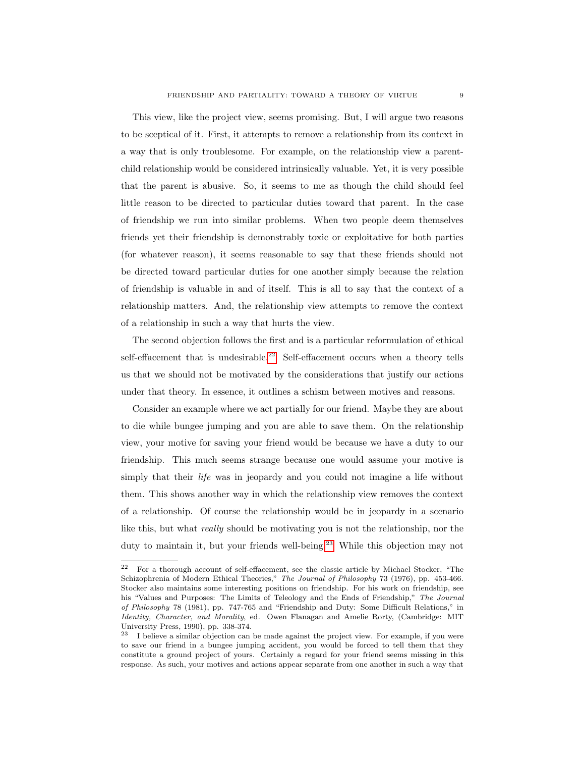This view, like the project view, seems promising. But, I will argue two reasons to be sceptical of it. First, it attempts to remove a relationship from its context in a way that is only troublesome. For example, on the relationship view a parentchild relationship would be considered intrinsically valuable. Yet, it is very possible that the parent is abusive. So, it seems to me as though the child should feel little reason to be directed to particular duties toward that parent. In the case of friendship we run into similar problems. When two people deem themselves friends yet their friendship is demonstrably toxic or exploitative for both parties (for whatever reason), it seems reasonable to say that these friends should not be directed toward particular duties for one another simply because the relation of friendship is valuable in and of itself. This is all to say that the context of a relationship matters. And, the relationship view attempts to remove the context of a relationship in such a way that hurts the view.

The second objection follows the first and is a particular reformulation of ethical self-effacement that is undesirable.<sup>[22](#page-1-0)</sup> Self-effacement occurs when a theory tells us that we should not be motivated by the considerations that justify our actions under that theory. In essence, it outlines a schism between motives and reasons.

Consider an example where we act partially for our friend. Maybe they are about to die while bungee jumping and you are able to save them. On the relationship view, your motive for saving your friend would be because we have a duty to our friendship. This much seems strange because one would assume your motive is simply that their *life* was in jeopardy and you could not imagine a life without them. This shows another way in which the relationship view removes the context of a relationship. Of course the relationship would be in jeopardy in a scenario like this, but what really should be motivating you is not the relationship, nor the duty to maintain it, but your friends well-being.<sup>[23](#page-1-0)</sup> While this objection may not

<sup>22</sup> For a thorough account of self-effacement, see the classic article by Michael Stocker, "The Schizophrenia of Modern Ethical Theories," The Journal of Philosophy 73 (1976), pp. 453-466. Stocker also maintains some interesting positions on friendship. For his work on friendship, see his "Values and Purposes: The Limits of Teleology and the Ends of Friendship," The Journal of Philosophy 78 (1981), pp. 747-765 and "Friendship and Duty: Some Difficult Relations," in Identity, Character, and Morality, ed. Owen Flanagan and Amelie Rorty, (Cambridge: MIT University Press, 1990), pp. 338-374.

<sup>&</sup>lt;sup>23</sup> I believe a similar objection can be made against the project view. For example, if you were to save our friend in a bungee jumping accident, you would be forced to tell them that they constitute a ground project of yours. Certainly a regard for your friend seems missing in this response. As such, your motives and actions appear separate from one another in such a way that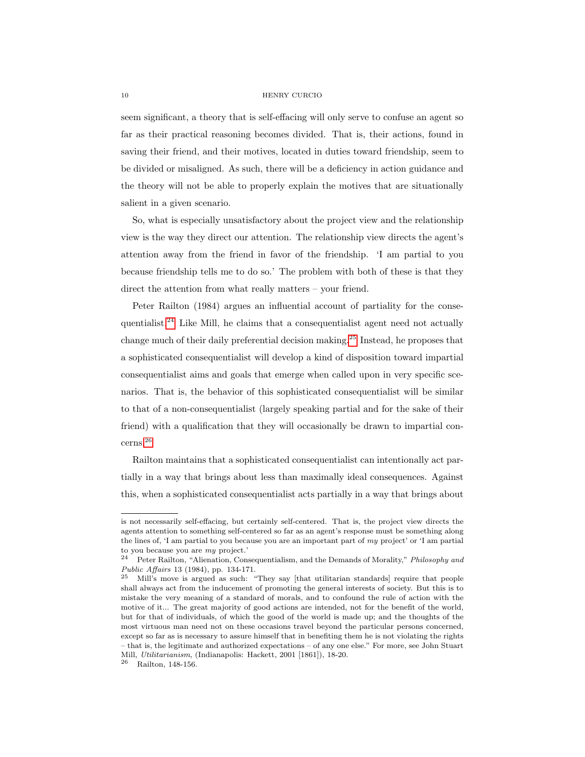seem significant, a theory that is self-effacing will only serve to confuse an agent so far as their practical reasoning becomes divided. That is, their actions, found in saving their friend, and their motives, located in duties toward friendship, seem to be divided or misaligned. As such, there will be a deficiency in action guidance and the theory will not be able to properly explain the motives that are situationally salient in a given scenario.

So, what is especially unsatisfactory about the project view and the relationship view is the way they direct our attention. The relationship view directs the agent's attention away from the friend in favor of the friendship. 'I am partial to you because friendship tells me to do so.' The problem with both of these is that they direct the attention from what really matters – your friend.

Peter Railton (1984) argues an influential account of partiality for the conse-quentialist.<sup>[24](#page-1-0)</sup> Like Mill, he claims that a consequentialist agent need not actually change much of their daily preferential decision making.[25](#page-1-0) Instead, he proposes that a sophisticated consequentialist will develop a kind of disposition toward impartial consequentialist aims and goals that emerge when called upon in very specific scenarios. That is, the behavior of this sophisticated consequentialist will be similar to that of a non-consequentialist (largely speaking partial and for the sake of their friend) with a qualification that they will occasionally be drawn to impartial concerns.[26](#page-1-0)

Railton maintains that a sophisticated consequentialist can intentionally act partially in a way that brings about less than maximally ideal consequences. Against this, when a sophisticated consequentialist acts partially in a way that brings about

is not necessarily self-effacing, but certainly self-centered. That is, the project view directs the agents attention to something self-centered so far as an agent's response must be something along the lines of, 'I am partial to you because you are an important part of my project' or 'I am partial to you because you are my project.'

<sup>&</sup>lt;sup>24</sup> Peter Railton, "Alienation, Consequentialism, and the Demands of Morality," Philosophy and Public Affairs 13 (1984), pp. 134-171.

<sup>25</sup> Mill's move is argued as such: "They say [that utilitarian standards] require that people shall always act from the inducement of promoting the general interests of society. But this is to mistake the very meaning of a standard of morals, and to confound the rule of action with the motive of it... The great majority of good actions are intended, not for the benefit of the world, but for that of individuals, of which the good of the world is made up; and the thoughts of the most virtuous man need not on these occasions travel beyond the particular persons concerned, except so far as is necessary to assure himself that in benefiting them he is not violating the rights – that is, the legitimate and authorized expectations – of any one else." For more, see John Stuart Mill, Utilitarianism, (Indianapolis: Hackett, 2001 [1861]), 18-20.

<sup>26</sup> Railton, 148-156.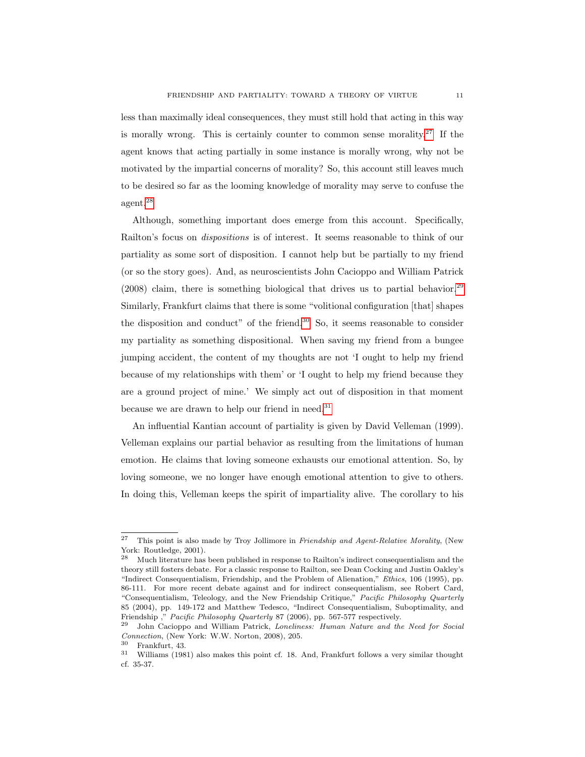less than maximally ideal consequences, they must still hold that acting in this way is morally wrong. This is certainly counter to common sense morality.<sup>[27](#page-1-0)</sup> If the agent knows that acting partially in some instance is morally wrong, why not be motivated by the impartial concerns of morality? So, this account still leaves much to be desired so far as the looming knowledge of morality may serve to confuse the agent.[28](#page-1-0)

Although, something important does emerge from this account. Specifically, Railton's focus on dispositions is of interest. It seems reasonable to think of our partiality as some sort of disposition. I cannot help but be partially to my friend (or so the story goes). And, as neuroscientists John Cacioppo and William Patrick  $(2008)$  claim, there is something biological that drives us to partial behavior.<sup>[29](#page-1-0)</sup> Similarly, Frankfurt claims that there is some "volitional configuration [that] shapes the disposition and conduct" of the friend.<sup>[30](#page-1-0)</sup> So, it seems reasonable to consider my partiality as something dispositional. When saving my friend from a bungee jumping accident, the content of my thoughts are not 'I ought to help my friend because of my relationships with them' or 'I ought to help my friend because they are a ground project of mine.' We simply act out of disposition in that moment because we are drawn to help our friend in need.<sup>[31](#page-1-0)</sup>

An influential Kantian account of partiality is given by David Velleman (1999). Velleman explains our partial behavior as resulting from the limitations of human emotion. He claims that loving someone exhausts our emotional attention. So, by loving someone, we no longer have enough emotional attention to give to others. In doing this, Velleman keeps the spirit of impartiality alive. The corollary to his

<sup>&</sup>lt;sup>27</sup> This point is also made by Troy Jollimore in Friendship and Agent-Relative Morality, (New York: Routledge, 2001).<br><sup>28</sup> Much literature has

<sup>28</sup> Much literature has been published in response to Railton's indirect consequentialism and the theory still fosters debate. For a classic response to Railton, see Dean Cocking and Justin Oakley's "Indirect Consequentialism, Friendship, and the Problem of Alienation," Ethics, 106 (1995), pp. 86-111. For more recent debate against and for indirect consequentialism, see Robert Card, "Consequentialism, Teleology, and the New Friendship Critique," Pacific Philosophy Quarterly 85 (2004), pp. 149-172 and Matthew Tedesco, "Indirect Consequentialism, Suboptimality, and Friendship ," Pacific Philosophy Quarterly 87 (2006), pp. 567-577 respectively.<br>29 Lake Cocionne and William Patrick Longkness: Hyman Nature and the

John Cacioppo and William Patrick, Loneliness: Human Nature and the Need for Social Connection, (New York: W.W. Norton, 2008), 205.

<sup>30</sup> Frankfurt, 43.

<sup>31</sup> Williams (1981) also makes this point cf. 18. And, Frankfurt follows a very similar thought cf. 35-37.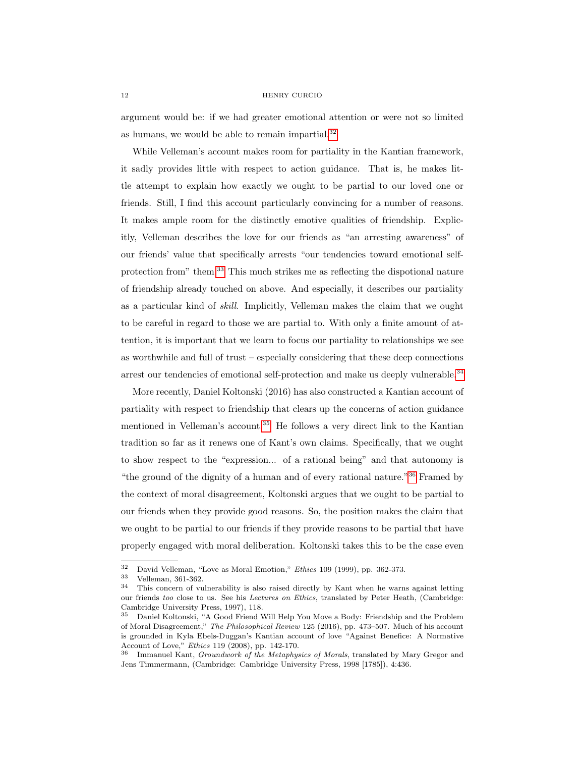argument would be: if we had greater emotional attention or were not so limited as humans, we would be able to remain impartial.<sup>[32](#page-1-0)</sup>

While Velleman's account makes room for partiality in the Kantian framework, it sadly provides little with respect to action guidance. That is, he makes little attempt to explain how exactly we ought to be partial to our loved one or friends. Still, I find this account particularly convincing for a number of reasons. It makes ample room for the distinctly emotive qualities of friendship. Explicitly, Velleman describes the love for our friends as "an arresting awareness" of our friends' value that specifically arrests "our tendencies toward emotional selfprotection from" them.[33](#page-1-0) This much strikes me as reflecting the dispotional nature of friendship already touched on above. And especially, it describes our partiality as a particular kind of skill. Implicitly, Velleman makes the claim that we ought to be careful in regard to those we are partial to. With only a finite amount of attention, it is important that we learn to focus our partiality to relationships we see as worthwhile and full of trust – especially considering that these deep connections arrest our tendencies of emotional self-protection and make us deeply vulnerable.[34](#page-1-0)

More recently, Daniel Koltonski (2016) has also constructed a Kantian account of partiality with respect to friendship that clears up the concerns of action guidance mentioned in Velleman's account.[35](#page-1-0) He follows a very direct link to the Kantian tradition so far as it renews one of Kant's own claims. Specifically, that we ought to show respect to the "expression... of a rational being" and that autonomy is "the ground of the dignity of a human and of every rational nature."[36](#page-1-0) Framed by the context of moral disagreement, Koltonski argues that we ought to be partial to our friends when they provide good reasons. So, the position makes the claim that we ought to be partial to our friends if they provide reasons to be partial that have properly engaged with moral deliberation. Koltonski takes this to be the case even

 $\frac{32}{133}$  David Velleman, "Love as Moral Emotion," *Ethics* 109 (1999), pp. 362-373.

 $\frac{33}{34}$  Velleman, 361-362.

<sup>34</sup> This concern of vulnerability is also raised directly by Kant when he warns against letting our friends too close to us. See his *Lectures on Ethics*, translated by Peter Heath, (Cambridge: Cambridge University Press, 1997), 118.

<sup>35</sup> Daniel Koltonski, "A Good Friend Will Help You Move a Body: Friendship and the Problem of Moral Disagreement," The Philosophical Review 125 (2016), pp. 473–507. Much of his account is grounded in Kyla Ebels-Duggan's Kantian account of love "Against Benefice: A Normative Account of Love," Ethics 119 (2008), pp. 142-170.

<sup>36</sup> Immanuel Kant, Groundwork of the Metaphysics of Morals, translated by Mary Gregor and Jens Timmermann, (Cambridge: Cambridge University Press, 1998 [1785]), 4:436.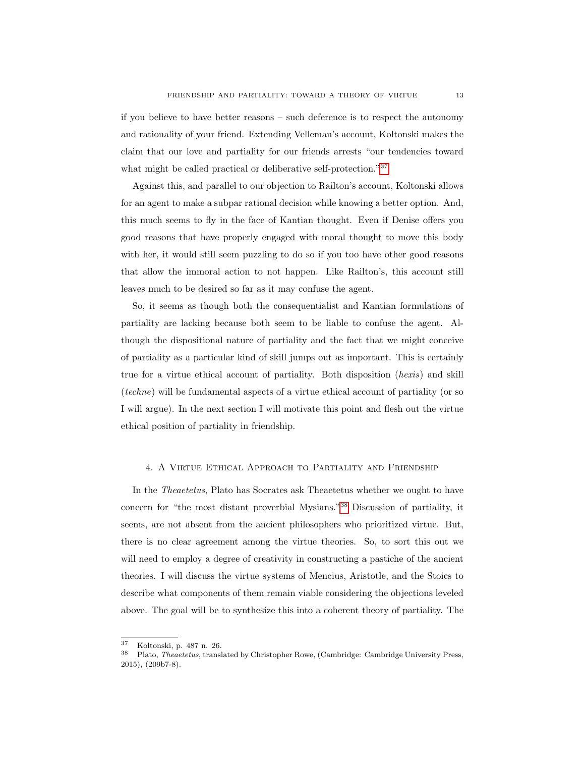if you believe to have better reasons – such deference is to respect the autonomy and rationality of your friend. Extending Velleman's account, Koltonski makes the claim that our love and partiality for our friends arrests "our tendencies toward what might be called practical or deliberative self-protection."<sup>[37](#page-1-0)</sup>

Against this, and parallel to our objection to Railton's account, Koltonski allows for an agent to make a subpar rational decision while knowing a better option. And, this much seems to fly in the face of Kantian thought. Even if Denise offers you good reasons that have properly engaged with moral thought to move this body with her, it would still seem puzzling to do so if you too have other good reasons that allow the immoral action to not happen. Like Railton's, this account still leaves much to be desired so far as it may confuse the agent.

So, it seems as though both the consequentialist and Kantian formulations of partiality are lacking because both seem to be liable to confuse the agent. Although the dispositional nature of partiality and the fact that we might conceive of partiality as a particular kind of skill jumps out as important. This is certainly true for a virtue ethical account of partiality. Both disposition (hexis) and skill (techne) will be fundamental aspects of a virtue ethical account of partiality (or so I will argue). In the next section I will motivate this point and flesh out the virtue ethical position of partiality in friendship.

# <span id="page-13-0"></span>4. A Virtue Ethical Approach to Partiality and Friendship

In the Theaetetus, Plato has Socrates ask Theaetetus whether we ought to have concern for "the most distant proverbial Mysians."[38](#page-1-0) Discussion of partiality, it seems, are not absent from the ancient philosophers who prioritized virtue. But, there is no clear agreement among the virtue theories. So, to sort this out we will need to employ a degree of creativity in constructing a pastiche of the ancient theories. I will discuss the virtue systems of Mencius, Aristotle, and the Stoics to describe what components of them remain viable considering the objections leveled above. The goal will be to synthesize this into a coherent theory of partiality. The

 $\frac{37}{38}$  Koltonski, p. 487 n. 26.

<sup>38</sup> Plato, Theaetetus, translated by Christopher Rowe, (Cambridge: Cambridge University Press, 2015), (209b7-8).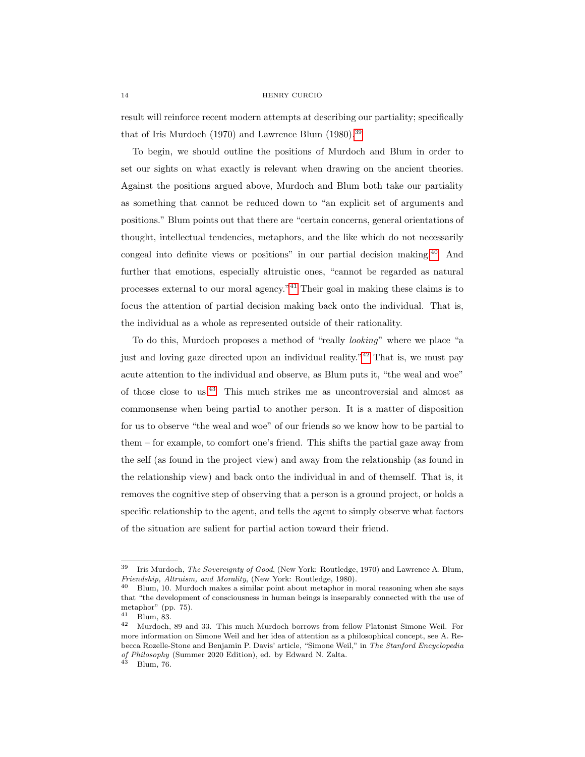result will reinforce recent modern attempts at describing our partiality; specifically that of Iris Murdoch (1970) and Lawrence Blum (1980).[39](#page-1-0)

To begin, we should outline the positions of Murdoch and Blum in order to set our sights on what exactly is relevant when drawing on the ancient theories. Against the positions argued above, Murdoch and Blum both take our partiality as something that cannot be reduced down to "an explicit set of arguments and positions." Blum points out that there are "certain concerns, general orientations of thought, intellectual tendencies, metaphors, and the like which do not necessarily congeal into definite views or positions" in our partial decision making.[40](#page-1-0) And further that emotions, especially altruistic ones, "cannot be regarded as natural processes external to our moral agency."[41](#page-1-0) Their goal in making these claims is to focus the attention of partial decision making back onto the individual. That is, the individual as a whole as represented outside of their rationality.

To do this, Murdoch proposes a method of "really looking" where we place "a just and loving gaze directed upon an individual reality."[42](#page-1-0) That is, we must pay acute attention to the individual and observe, as Blum puts it, "the weal and woe" of those close to us.[43](#page-1-0) This much strikes me as uncontroversial and almost as commonsense when being partial to another person. It is a matter of disposition for us to observe "the weal and woe" of our friends so we know how to be partial to them – for example, to comfort one's friend. This shifts the partial gaze away from the self (as found in the project view) and away from the relationship (as found in the relationship view) and back onto the individual in and of themself. That is, it removes the cognitive step of observing that a person is a ground project, or holds a specific relationship to the agent, and tells the agent to simply observe what factors of the situation are salient for partial action toward their friend.

 $39$  Iris Murdoch, The Sovereignty of Good, (New York: Routledge, 1970) and Lawrence A. Blum, Friendship, Altruism, and Morality, (New York: Routledge, 1980).

<sup>40</sup> Blum, 10. Murdoch makes a similar point about metaphor in moral reasoning when she says that "the development of consciousness in human beings is inseparably connected with the use of metaphor" (pp. 75).<br> $\frac{41}{2}$  Plum 82

 $\frac{41}{42}$  Blum, 83.

<sup>42</sup> Murdoch, 89 and 33. This much Murdoch borrows from fellow Platonist Simone Weil. For more information on Simone Weil and her idea of attention as a philosophical concept, see A. Rebecca Rozelle-Stone and Benjamin P. Davis' article, "Simone Weil," in The Stanford Encyclopedia of Philosophy (Summer 2020 Edition), ed. by Edward N. Zalta.

 $43$  Blum, 76.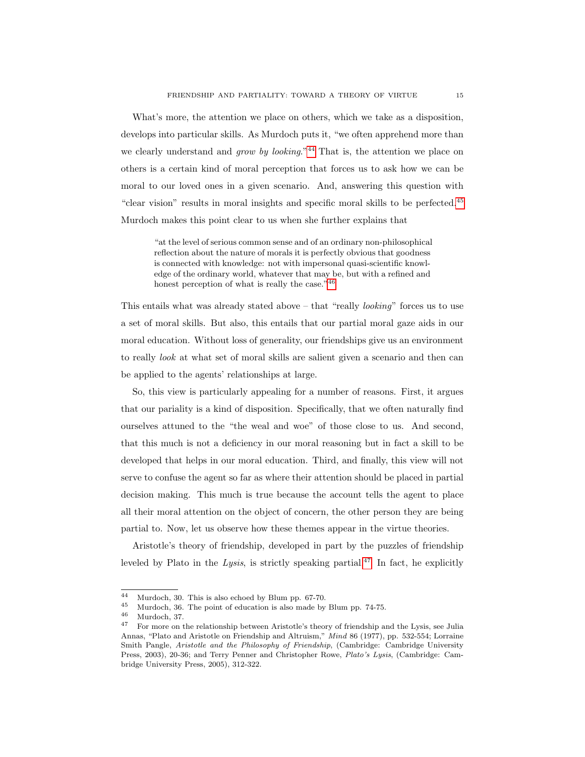What's more, the attention we place on others, which we take as a disposition, develops into particular skills. As Murdoch puts it, "we often apprehend more than we clearly understand and grow by looking."<sup>[44](#page-1-0)</sup> That is, the attention we place on others is a certain kind of moral perception that forces us to ask how we can be moral to our loved ones in a given scenario. And, answering this question with "clear vision" results in moral insights and specific moral skills to be perfected.[45](#page-1-0) Murdoch makes this point clear to us when she further explains that

"at the level of serious common sense and of an ordinary non-philosophical reflection about the nature of morals it is perfectly obvious that goodness is connected with knowledge: not with impersonal quasi-scientific knowledge of the ordinary world, whatever that may be, but with a refined and honest perception of what is really the case."<sup>[46](#page-1-0)</sup>

This entails what was already stated above – that "really looking" forces us to use a set of moral skills. But also, this entails that our partial moral gaze aids in our moral education. Without loss of generality, our friendships give us an environment to really look at what set of moral skills are salient given a scenario and then can be applied to the agents' relationships at large.

So, this view is particularly appealing for a number of reasons. First, it argues that our pariality is a kind of disposition. Specifically, that we often naturally find ourselves attuned to the "the weal and woe" of those close to us. And second, that this much is not a deficiency in our moral reasoning but in fact a skill to be developed that helps in our moral education. Third, and finally, this view will not serve to confuse the agent so far as where their attention should be placed in partial decision making. This much is true because the account tells the agent to place all their moral attention on the object of concern, the other person they are being partial to. Now, let us observe how these themes appear in the virtue theories.

Aristotle's theory of friendship, developed in part by the puzzles of friendship leveled by Plato in the Lysis, is strictly speaking partial.<sup>[47](#page-1-0)</sup> In fact, he explicitly

<sup>&</sup>lt;sup>44</sup> Murdoch, 30. This is also echoed by Blum pp. 67-70.<br><sup>45</sup> Murdoch, <sup>36</sup>. The point of education is also made by

<sup>&</sup>lt;sup>45</sup> Murdoch, 36. The point of education is also made by Blum pp. 74-75.<br> $\frac{46}{100}$  Murdoch, 37

 $\frac{46}{47}$  Murdoch, 37.

<sup>47</sup> For more on the relationship between Aristotle's theory of friendship and the Lysis, see Julia Annas, "Plato and Aristotle on Friendship and Altruism," Mind 86 (1977), pp. 532-554; Lorraine Smith Pangle, Aristotle and the Philosophy of Friendship, (Cambridge: Cambridge University Press, 2003), 20-36; and Terry Penner and Christopher Rowe, Plato's Lysis, (Cambridge: Cambridge University Press, 2005), 312-322.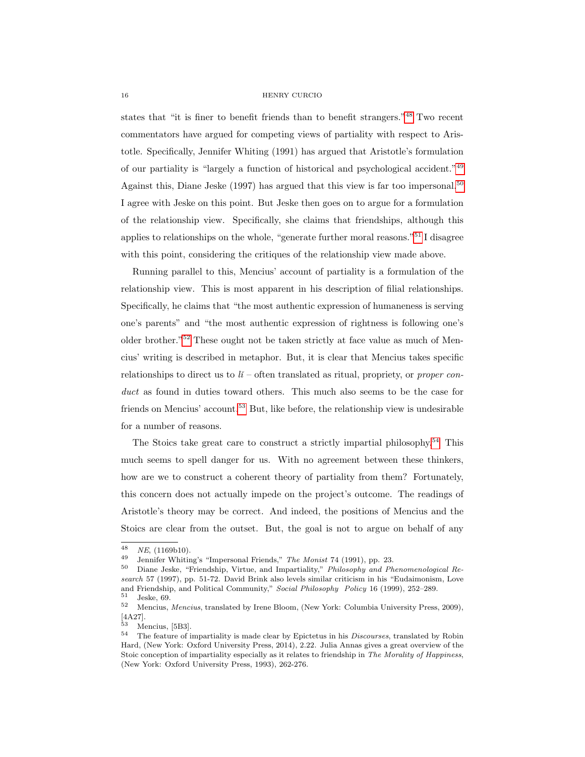states that "it is finer to benefit friends than to benefit strangers."[48](#page-1-0) Two recent commentators have argued for competing views of partiality with respect to Aristotle. Specifically, Jennifer Whiting (1991) has argued that Aristotle's formulation of our partiality is "largely a function of historical and psychological accident."[49](#page-1-0) Against this, Diane Jeske  $(1997)$  has argued that this view is far too impersonal.<sup>[50](#page-1-0)</sup> I agree with Jeske on this point. But Jeske then goes on to argue for a formulation of the relationship view. Specifically, she claims that friendships, although this applies to relationships on the whole, "generate further moral reasons."[51](#page-1-0) I disagree with this point, considering the critiques of the relationship view made above.

Running parallel to this, Mencius' account of partiality is a formulation of the relationship view. This is most apparent in his description of filial relationships. Specifically, he claims that "the most authentic expression of humaneness is serving one's parents" and "the most authentic expression of rightness is following one's older brother."[52](#page-1-0) These ought not be taken strictly at face value as much of Mencius' writing is described in metaphor. But, it is clear that Mencius takes specific relationships to direct us to  $li$  – often translated as ritual, propriety, or proper conduct as found in duties toward others. This much also seems to be the case for friends on Mencius' account.<sup>[53](#page-1-0)</sup> But, like before, the relationship view is undesirable for a number of reasons.

The Stoics take great care to construct a strictly impartial philosophy.<sup>[54](#page-1-0)</sup> This much seems to spell danger for us. With no agreement between these thinkers, how are we to construct a coherent theory of partiality from them? Fortunately, this concern does not actually impede on the project's outcome. The readings of Aristotle's theory may be correct. And indeed, the positions of Mencius and the Stoics are clear from the outset. But, the goal is not to argue on behalf of any

 $\frac{48}{49}$  NE, (1169b10).

Jennifer Whiting's "Impersonal Friends," The Monist 74 (1991), pp. 23.

<sup>50</sup> Diane Jeske, "Friendship, Virtue, and Impartiality," Philosophy and Phenomenological Research 57 (1997), pp. 51-72. David Brink also levels similar criticism in his "Eudaimonism, Love and Friendship, and Political Community," Social Philosophy Policy 16 (1999), 252–289.

 $rac{51}{52}$  Jeske, 69. <sup>52</sup> Mencius, Mencius, translated by Irene Bloom, (New York: Columbia University Press, 2009),  $[4A27]$ .

Mencius, [5B3].

 $^{54}$  The feature of impartiality is made clear by Epictetus in his *Discourses*, translated by Robin Hard, (New York: Oxford University Press, 2014), 2.22. Julia Annas gives a great overview of the Stoic conception of impartiality especially as it relates to friendship in The Morality of Happiness, (New York: Oxford University Press, 1993), 262-276.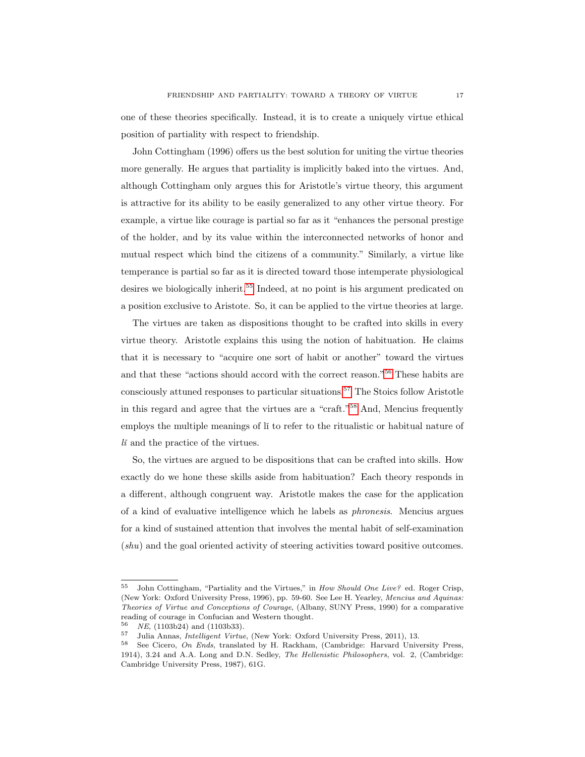one of these theories specifically. Instead, it is to create a uniquely virtue ethical position of partiality with respect to friendship.

John Cottingham (1996) offers us the best solution for uniting the virtue theories more generally. He argues that partiality is implicitly baked into the virtues. And, although Cottingham only argues this for Aristotle's virtue theory, this argument is attractive for its ability to be easily generalized to any other virtue theory. For example, a virtue like courage is partial so far as it "enhances the personal prestige of the holder, and by its value within the interconnected networks of honor and mutual respect which bind the citizens of a community." Similarly, a virtue like temperance is partial so far as it is directed toward those intemperate physiological desires we biologically inherit.<sup>[55](#page-1-0)</sup> Indeed, at no point is his argument predicated on a position exclusive to Aristote. So, it can be applied to the virtue theories at large.

The virtues are taken as dispositions thought to be crafted into skills in every virtue theory. Aristotle explains this using the notion of habituation. He claims that it is necessary to "acquire one sort of habit or another" toward the virtues and that these "actions should accord with the correct reason."[56](#page-1-0) These habits are consciously attuned responses to particular situations.<sup>[57](#page-1-0)</sup> The Stoics follow Aristotle in this regard and agree that the virtues are a "craft."[58](#page-1-0) And, Mencius frequently employs the multiple meanings of lí to refer to the ritualistic or habitual nature of  $li$  and the practice of the virtues.

So, the virtues are argued to be dispositions that can be crafted into skills. How exactly do we hone these skills aside from habituation? Each theory responds in a different, although congruent way. Aristotle makes the case for the application of a kind of evaluative intelligence which he labels as phronesis. Mencius argues for a kind of sustained attention that involves the mental habit of self-examination (shu) and the goal oriented activity of steering activities toward positive outcomes.

<sup>&</sup>lt;sup>55</sup> John Cottingham, "Partiality and the Virtues," in *How Should One Live?* ed. Roger Crisp, (New York: Oxford University Press, 1996), pp. 59-60. See Lee H. Yearley, Mencius and Aquinas: Theories of Virtue and Conceptions of Courage, (Albany, SUNY Press, 1990) for a comparative reading of courage in Confucian and Western thought.

 $^{56}$  NE, (1103b24) and (1103b33).<br> $^{57}$  Iulie Annes Intelligent Virtue

<sup>&</sup>lt;sup>57</sup> Julia Annas, *Intelligent Virtue*, (New York: Oxford University Press, 2011), 13.<br><sup>58</sup> See Cierre, *On Ende*, translated by H. Backham (Cambridge: Harvard University

See Cicero, On Ends, translated by H. Rackham, (Cambridge: Harvard University Press, 1914), 3.24 and A.A. Long and D.N. Sedley, The Hellenistic Philosophers, vol. 2, (Cambridge: Cambridge University Press, 1987), 61G.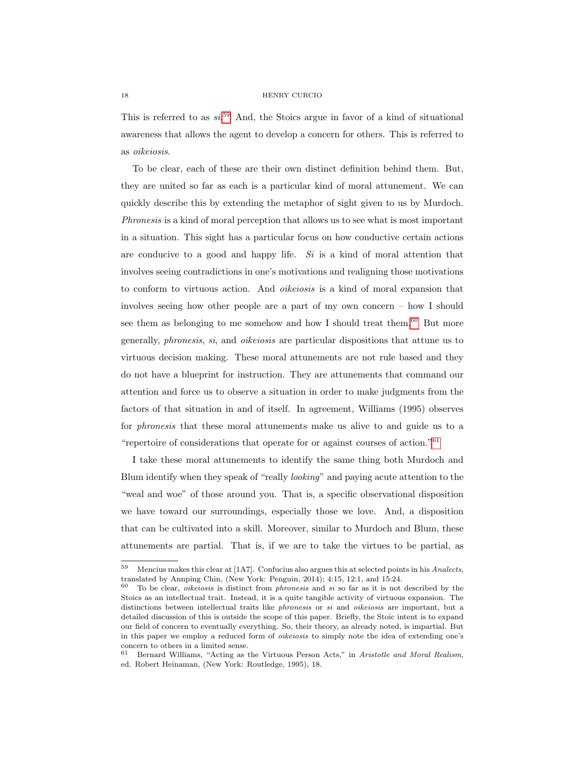This is referred to as  $si^{59}$  $si^{59}$  $si^{59}$  And, the Stoics argue in favor of a kind of situational awareness that allows the agent to develop a concern for others. This is referred to as oikeiosis.

To be clear, each of these are their own distinct definition behind them. But, they are united so far as each is a particular kind of moral attunement. We can quickly describe this by extending the metaphor of sight given to us by Murdoch. Phronesis is a kind of moral perception that allows us to see what is most important in a situation. This sight has a particular focus on how conductive certain actions are conducive to a good and happy life. Si is a kind of moral attention that involves seeing contradictions in one's motivations and realigning those motivations to conform to virtuous action. And oikeiosis is a kind of moral expansion that involves seeing how other people are a part of my own concern – how I should see them as belonging to me somehow and how I should treat them. $60$  But more generally, phronesis, si, and oikeiosis are particular dispositions that attune us to virtuous decision making. These moral attunements are not rule based and they do not have a blueprint for instruction. They are attunements that command our attention and force us to observe a situation in order to make judgments from the factors of that situation in and of itself. In agreement, Williams (1995) observes for phronesis that these moral attunements make us alive to and guide us to a "repertoire of considerations that operate for or against courses of action."<sup>[61](#page-1-0)</sup>

I take these moral attunements to identify the same thing both Murdoch and Blum identify when they speak of "really looking" and paying acute attention to the "weal and woe" of those around you. That is, a specific observational disposition we have toward our surroundings, especially those we love. And, a disposition that can be cultivated into a skill. Moreover, similar to Murdoch and Blum, these attunements are partial. That is, if we are to take the virtues to be partial, as

 $59$  Mencius makes this clear at [1A7]. Confucius also argues this at selected points in his Analects, translated by Annping Chin, (New York: Penguin, 2014); 4:15, 12:1, and 15:24.

 $60$  To be clear, *oikeiosis* is distinct from *phronesis* and si so far as it is not described by the Stoics as an intellectual trait. Instead, it is a quite tangible activity of virtuous expansion. The distinctions between intellectual traits like *phronesis* or si and *oikeiosis* are important, but a detailed discussion of this is outside the scope of this paper. Briefly, the Stoic intent is to expand our field of concern to eventually everything. So, their theory, as already noted, is impartial. But in this paper we employ a reduced form of oikeiosis to simply note the idea of extending one's concern to others in a limited sense.

<sup>61</sup> Bernard Williams, "Acting as the Virtuous Person Acts," in Aristotle and Moral Realism, ed. Robert Heinaman, (New York: Routledge, 1995), 18.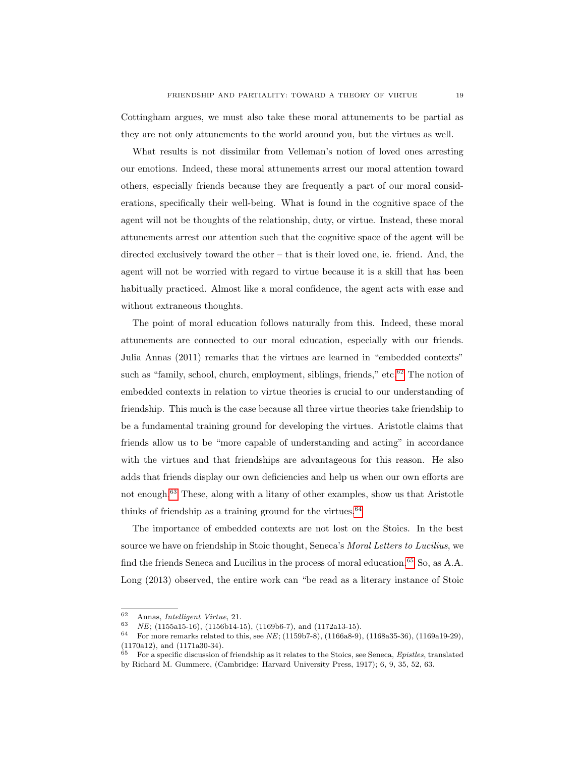Cottingham argues, we must also take these moral attunements to be partial as they are not only attunements to the world around you, but the virtues as well.

What results is not dissimilar from Velleman's notion of loved ones arresting our emotions. Indeed, these moral attunements arrest our moral attention toward others, especially friends because they are frequently a part of our moral considerations, specifically their well-being. What is found in the cognitive space of the agent will not be thoughts of the relationship, duty, or virtue. Instead, these moral attunements arrest our attention such that the cognitive space of the agent will be directed exclusively toward the other – that is their loved one, ie. friend. And, the agent will not be worried with regard to virtue because it is a skill that has been habitually practiced. Almost like a moral confidence, the agent acts with ease and without extraneous thoughts.

The point of moral education follows naturally from this. Indeed, these moral attunements are connected to our moral education, especially with our friends. Julia Annas (2011) remarks that the virtues are learned in "embedded contexts" such as "family, school, church, employment, siblings, friends," etc. $62$  The notion of embedded contexts in relation to virtue theories is crucial to our understanding of friendship. This much is the case because all three virtue theories take friendship to be a fundamental training ground for developing the virtues. Aristotle claims that friends allow us to be "more capable of understanding and acting" in accordance with the virtues and that friendships are advantageous for this reason. He also adds that friends display our own deficiencies and help us when our own efforts are not enough.[63](#page-1-0) These, along with a litany of other examples, show us that Aristotle thinks of friendship as a training ground for the virtues.  $64$ 

The importance of embedded contexts are not lost on the Stoics. In the best source we have on friendship in Stoic thought, Seneca's Moral Letters to Lucilius, we find the friends Seneca and Lucilius in the process of moral education.<sup>[65](#page-1-0)</sup> So, as A.A. Long (2013) observed, the entire work can "be read as a literary instance of Stoic

 $^{62}$  Annas, *Intelligent Virtue*, 21.<br> $^{63}$  *NE* (1155-15-16) (1156-14-1

<sup>&</sup>lt;sup>63</sup> NE; (1155a15-16), (1156b14-15), (1169b6-7), and (1172a13-15).<br><sup>64</sup> Early none remarks related to this see NE; (1150b7, 8), (1166a8, 9)

<sup>64</sup> For more remarks related to this, see NE; (1159b7-8), (1166a8-9), (1168a35-36), (1169a19-29), (1170a12), and (1171a30-34).

 $65$  For a specific discussion of friendship as it relates to the Stoics, see Seneca, Epistles, translated by Richard M. Gummere, (Cambridge: Harvard University Press, 1917); 6, 9, 35, 52, 63.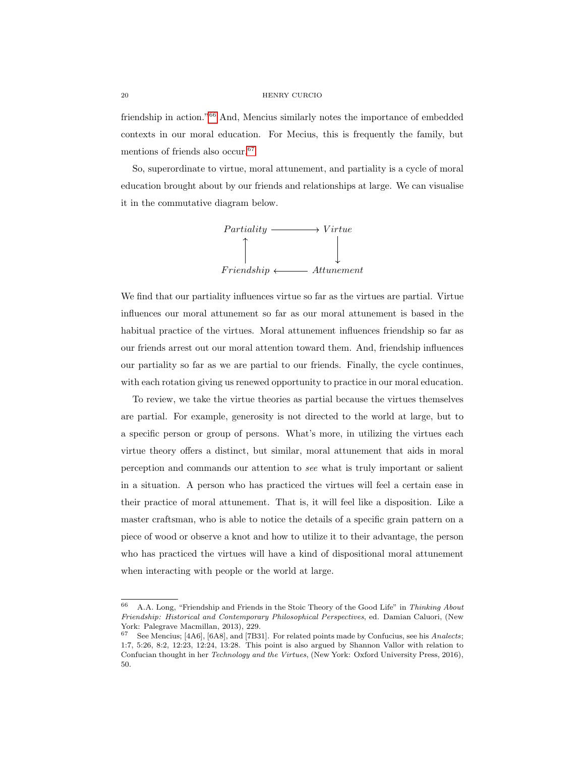friendship in action."[66](#page-1-0) And, Mencius similarly notes the importance of embedded contexts in our moral education. For Mecius, this is frequently the family, but mentions of friends also occur.<sup>[67](#page-1-0)</sup>

So, superordinate to virtue, moral attunement, and partiality is a cycle of moral education brought about by our friends and relationships at large. We can visualise it in the commutative diagram below.



We find that our partiality influences virtue so far as the virtues are partial. Virtue influences our moral attunement so far as our moral attunement is based in the habitual practice of the virtues. Moral attunement influences friendship so far as our friends arrest out our moral attention toward them. And, friendship influences our partiality so far as we are partial to our friends. Finally, the cycle continues, with each rotation giving us renewed opportunity to practice in our moral education.

To review, we take the virtue theories as partial because the virtues themselves are partial. For example, generosity is not directed to the world at large, but to a specific person or group of persons. What's more, in utilizing the virtues each virtue theory offers a distinct, but similar, moral attunement that aids in moral perception and commands our attention to see what is truly important or salient in a situation. A person who has practiced the virtues will feel a certain ease in their practice of moral attunement. That is, it will feel like a disposition. Like a master craftsman, who is able to notice the details of a specific grain pattern on a piece of wood or observe a knot and how to utilize it to their advantage, the person who has practiced the virtues will have a kind of dispositional moral attunement when interacting with people or the world at large.

 $66$  A.A. Long, "Friendship and Friends in the Stoic Theory of the Good Life" in Thinking About Friendship: Historical and Contemporary Philosophical Perspectives, ed. Damian Caluori, (New York: Palegrave Macmillan, 2013), 229.

<sup>67</sup> See Mencius; [4A6], [6A8], and [7B31]. For related points made by Confucius, see his Analects; 1:7, 5:26, 8:2, 12:23, 12:24, 13:28. This point is also argued by Shannon Vallor with relation to Confucian thought in her Technology and the Virtues, (New York: Oxford University Press, 2016), 50.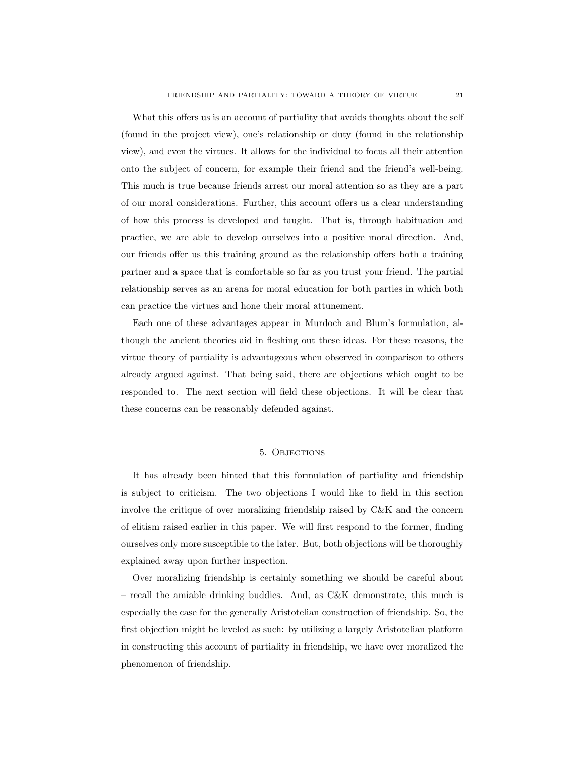What this offers us is an account of partiality that avoids thoughts about the self (found in the project view), one's relationship or duty (found in the relationship view), and even the virtues. It allows for the individual to focus all their attention onto the subject of concern, for example their friend and the friend's well-being. This much is true because friends arrest our moral attention so as they are a part of our moral considerations. Further, this account offers us a clear understanding of how this process is developed and taught. That is, through habituation and practice, we are able to develop ourselves into a positive moral direction. And, our friends offer us this training ground as the relationship offers both a training partner and a space that is comfortable so far as you trust your friend. The partial relationship serves as an arena for moral education for both parties in which both can practice the virtues and hone their moral attunement.

Each one of these advantages appear in Murdoch and Blum's formulation, although the ancient theories aid in fleshing out these ideas. For these reasons, the virtue theory of partiality is advantageous when observed in comparison to others already argued against. That being said, there are objections which ought to be responded to. The next section will field these objections. It will be clear that these concerns can be reasonably defended against.

## 5. Objections

<span id="page-21-0"></span>It has already been hinted that this formulation of partiality and friendship is subject to criticism. The two objections I would like to field in this section involve the critique of over moralizing friendship raised by C&K and the concern of elitism raised earlier in this paper. We will first respond to the former, finding ourselves only more susceptible to the later. But, both objections will be thoroughly explained away upon further inspection.

Over moralizing friendship is certainly something we should be careful about – recall the amiable drinking buddies. And, as  $C\&K$  demonstrate, this much is especially the case for the generally Aristotelian construction of friendship. So, the first objection might be leveled as such: by utilizing a largely Aristotelian platform in constructing this account of partiality in friendship, we have over moralized the phenomenon of friendship.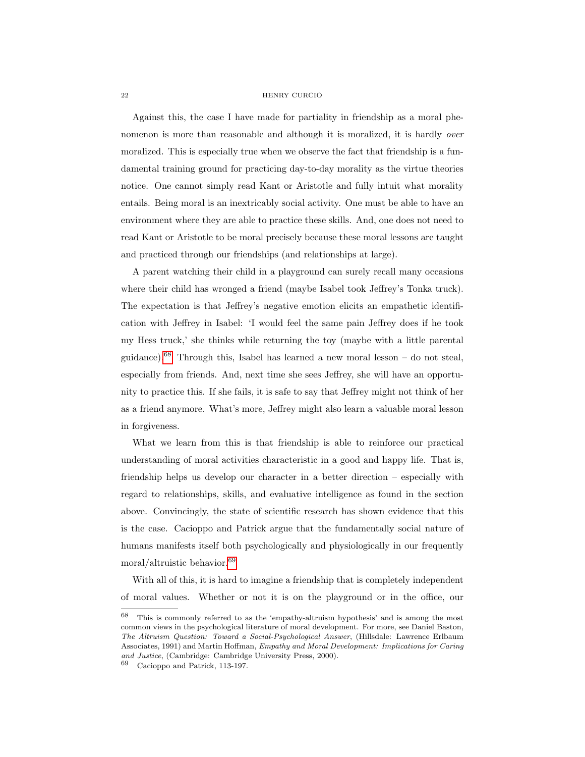Against this, the case I have made for partiality in friendship as a moral phenomenon is more than reasonable and although it is moralized, it is hardly *over* moralized. This is especially true when we observe the fact that friendship is a fundamental training ground for practicing day-to-day morality as the virtue theories notice. One cannot simply read Kant or Aristotle and fully intuit what morality entails. Being moral is an inextricably social activity. One must be able to have an environment where they are able to practice these skills. And, one does not need to read Kant or Aristotle to be moral precisely because these moral lessons are taught and practiced through our friendships (and relationships at large).

A parent watching their child in a playground can surely recall many occasions where their child has wronged a friend (maybe Isabel took Jeffrey's Tonka truck). The expectation is that Jeffrey's negative emotion elicits an empathetic identification with Jeffrey in Isabel: 'I would feel the same pain Jeffrey does if he took my Hess truck,' she thinks while returning the toy (maybe with a little parental guidance).<sup>[68](#page-1-0)</sup> Through this, Isabel has learned a new moral lesson – do not steal, especially from friends. And, next time she sees Jeffrey, she will have an opportunity to practice this. If she fails, it is safe to say that Jeffrey might not think of her as a friend anymore. What's more, Jeffrey might also learn a valuable moral lesson in forgiveness.

What we learn from this is that friendship is able to reinforce our practical understanding of moral activities characteristic in a good and happy life. That is, friendship helps us develop our character in a better direction – especially with regard to relationships, skills, and evaluative intelligence as found in the section above. Convincingly, the state of scientific research has shown evidence that this is the case. Cacioppo and Patrick argue that the fundamentally social nature of humans manifests itself both psychologically and physiologically in our frequently moral/altruistic behavior.[69](#page-1-0)

With all of this, it is hard to imagine a friendship that is completely independent of moral values. Whether or not it is on the playground or in the office, our

<sup>68</sup> This is commonly referred to as the 'empathy-altruism hypothesis' and is among the most common views in the psychological literature of moral development. For more, see Daniel Baston, The Altruism Question: Toward a Social-Psychological Answer, (Hillsdale: Lawrence Erlbaum Associates, 1991) and Martin Hoffman, Empathy and Moral Development: Implications for Caring and Justice, (Cambridge: Cambridge University Press, 2000).

<sup>69</sup> Cacioppo and Patrick, 113-197.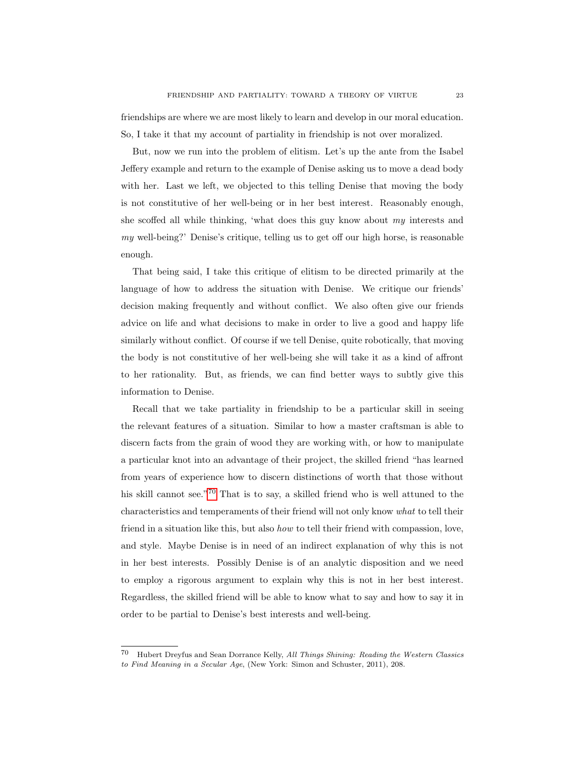friendships are where we are most likely to learn and develop in our moral education. So, I take it that my account of partiality in friendship is not over moralized.

But, now we run into the problem of elitism. Let's up the ante from the Isabel Jeffery example and return to the example of Denise asking us to move a dead body with her. Last we left, we objected to this telling Denise that moving the body is not constitutive of her well-being or in her best interest. Reasonably enough, she scoffed all while thinking, 'what does this guy know about my interests and my well-being?' Denise's critique, telling us to get off our high horse, is reasonable enough.

That being said, I take this critique of elitism to be directed primarily at the language of how to address the situation with Denise. We critique our friends' decision making frequently and without conflict. We also often give our friends advice on life and what decisions to make in order to live a good and happy life similarly without conflict. Of course if we tell Denise, quite robotically, that moving the body is not constitutive of her well-being she will take it as a kind of affront to her rationality. But, as friends, we can find better ways to subtly give this information to Denise.

Recall that we take partiality in friendship to be a particular skill in seeing the relevant features of a situation. Similar to how a master craftsman is able to discern facts from the grain of wood they are working with, or how to manipulate a particular knot into an advantage of their project, the skilled friend "has learned from years of experience how to discern distinctions of worth that those without his skill cannot see."<sup>[70](#page-1-0)</sup> That is to say, a skilled friend who is well attuned to the characteristics and temperaments of their friend will not only know what to tell their friend in a situation like this, but also how to tell their friend with compassion, love, and style. Maybe Denise is in need of an indirect explanation of why this is not in her best interests. Possibly Denise is of an analytic disposition and we need to employ a rigorous argument to explain why this is not in her best interest. Regardless, the skilled friend will be able to know what to say and how to say it in order to be partial to Denise's best interests and well-being.

<sup>70</sup> Hubert Dreyfus and Sean Dorrance Kelly, All Things Shining: Reading the Western Classics to Find Meaning in a Secular Age, (New York: Simon and Schuster, 2011), 208.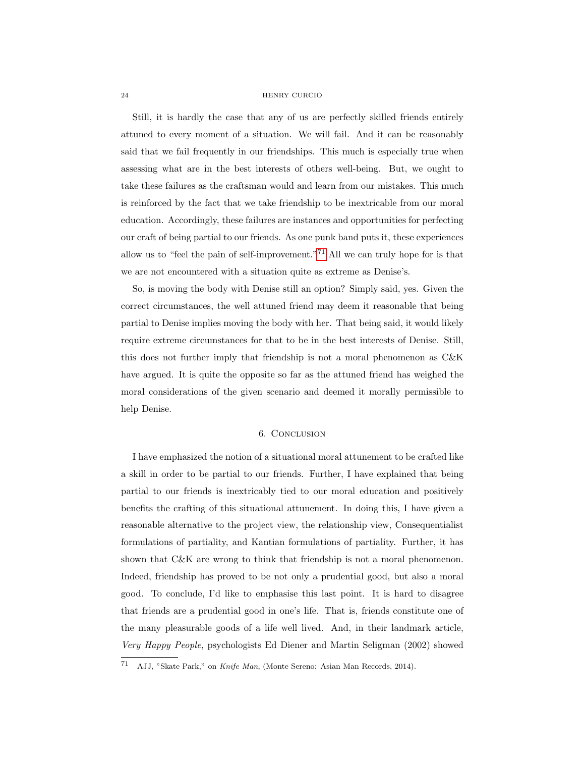Still, it is hardly the case that any of us are perfectly skilled friends entirely attuned to every moment of a situation. We will fail. And it can be reasonably said that we fail frequently in our friendships. This much is especially true when assessing what are in the best interests of others well-being. But, we ought to take these failures as the craftsman would and learn from our mistakes. This much is reinforced by the fact that we take friendship to be inextricable from our moral education. Accordingly, these failures are instances and opportunities for perfecting our craft of being partial to our friends. As one punk band puts it, these experiences allow us to "feel the pain of self-improvement."<sup>[71](#page-1-0)</sup> All we can truly hope for is that we are not encountered with a situation quite as extreme as Denise's.

So, is moving the body with Denise still an option? Simply said, yes. Given the correct circumstances, the well attuned friend may deem it reasonable that being partial to Denise implies moving the body with her. That being said, it would likely require extreme circumstances for that to be in the best interests of Denise. Still, this does not further imply that friendship is not a moral phenomenon as C&K have argued. It is quite the opposite so far as the attuned friend has weighed the moral considerations of the given scenario and deemed it morally permissible to help Denise.

# 6. Conclusion

<span id="page-24-0"></span>I have emphasized the notion of a situational moral attunement to be crafted like a skill in order to be partial to our friends. Further, I have explained that being partial to our friends is inextricably tied to our moral education and positively benefits the crafting of this situational attunement. In doing this, I have given a reasonable alternative to the project view, the relationship view, Consequentialist formulations of partiality, and Kantian formulations of partiality. Further, it has shown that C&K are wrong to think that friendship is not a moral phenomenon. Indeed, friendship has proved to be not only a prudential good, but also a moral good. To conclude, I'd like to emphasise this last point. It is hard to disagree that friends are a prudential good in one's life. That is, friends constitute one of the many pleasurable goods of a life well lived. And, in their landmark article, Very Happy People, psychologists Ed Diener and Martin Seligman (2002) showed

<sup>71</sup> AJJ, "Skate Park," on Knife Man, (Monte Sereno: Asian Man Records, 2014).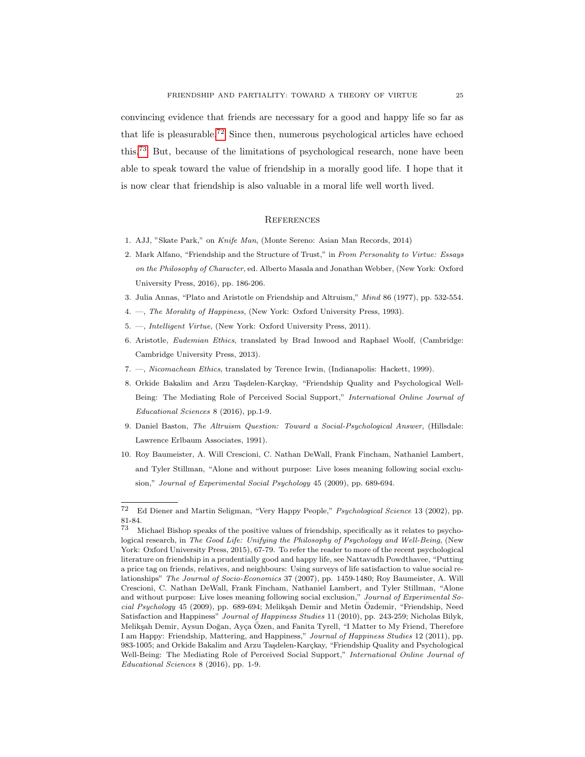convincing evidence that friends are necessary for a good and happy life so far as that life is pleasurable.[72](#page-1-0) Since then, numerous psychological articles have echoed this.[73](#page-1-0) But, because of the limitations of psychological research, none have been able to speak toward the value of friendship in a morally good life. I hope that it is now clear that friendship is also valuable in a moral life well worth lived.

#### <span id="page-25-0"></span>**REFERENCES**

- 1. AJJ, "Skate Park," on Knife Man, (Monte Sereno: Asian Man Records, 2014)
- 2. Mark Alfano, "Friendship and the Structure of Trust," in From Personality to Virtue: Essays on the Philosophy of Character, ed. Alberto Masala and Jonathan Webber, (New York: Oxford University Press, 2016), pp. 186-206.
- 3. Julia Annas, "Plato and Aristotle on Friendship and Altruism," Mind 86 (1977), pp. 532-554.
- 4. —, The Morality of Happiness, (New York: Oxford University Press, 1993).
- 5. —, Intelligent Virtue, (New York: Oxford University Press, 2011).
- 6. Aristotle, Eudemian Ethics, translated by Brad Inwood and Raphael Woolf, (Cambridge: Cambridge University Press, 2013).
- 7. —, Nicomachean Ethics, translated by Terence Irwin, (Indianapolis: Hackett, 1999).
- 8. Orkide Bakalim and Arzu Taşdelen-Karçkay, "Friendship Quality and Psychological Well-Being: The Mediating Role of Perceived Social Support," International Online Journal of Educational Sciences 8 (2016), pp.1-9.
- 9. Daniel Baston, The Altruism Question: Toward a Social-Psychological Answer, (Hillsdale: Lawrence Erlbaum Associates, 1991).
- 10. Roy Baumeister, A. Will Crescioni, C. Nathan DeWall, Frank Fincham, Nathaniel Lambert, and Tyler Stillman, "Alone and without purpose: Live loses meaning following social exclusion," Journal of Experimental Social Psychology 45 (2009), pp. 689-694.

<sup>72</sup> Ed Diener and Martin Seligman, "Very Happy People," Psychological Science 13 (2002), pp.  $81-84.73$ 

Michael Bishop speaks of the positive values of friendship, specifically as it relates to psychological research, in The Good Life: Unifying the Philosophy of Psychology and Well-Being, (New York: Oxford University Press, 2015), 67-79. To refer the reader to more of the recent psychological literature on friendship in a prudentially good and happy life, see Nattavudh Powdthavee, "Putting a price tag on friends, relatives, and neighbours: Using surveys of life satisfaction to value social relationships" The Journal of Socio-Economics 37 (2007), pp. 1459-1480; Roy Baumeister, A. Will Crescioni, C. Nathan DeWall, Frank Fincham, Nathaniel Lambert, and Tyler Stillman, "Alone and without purpose: Live loses meaning following social exclusion," Journal of Experimental So $cial$  Psychology 45 (2009), pp. 689-694; Melikşah Demir and Metin Ozdemir, "Friendship, Need Satisfaction and Happiness" Journal of Happiness Studies 11 (2010), pp. 243-259; Nicholas Bilyk, Melikşah Demir, Aysun Doğan, Ayça Özen, and Fanita Tyrell, "I Matter to My Friend, Therefore I am Happy: Friendship, Mattering, and Happiness," Journal of Happiness Studies 12 (2011), pp. 983-1005; and Orkide Bakalim and Arzu Taşdelen-Karçkay, "Friendship Quality and Psychological Well-Being: The Mediating Role of Perceived Social Support," International Online Journal of Educational Sciences 8 (2016), pp. 1-9.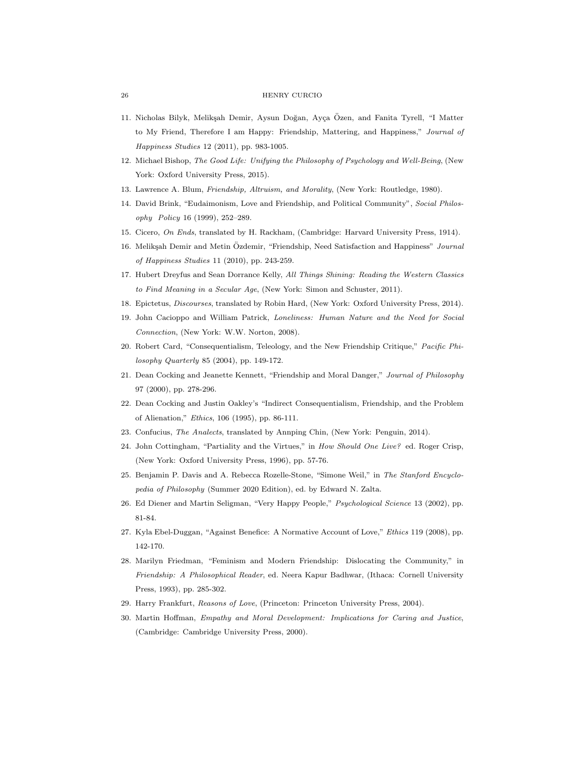- 11. Nicholas Bilyk, Melikşah Demir, Aysun Doğan, Ayça Özen, and Fanita Tyrell, "I Matter to My Friend, Therefore I am Happy: Friendship, Mattering, and Happiness," Journal of Happiness Studies 12 (2011), pp. 983-1005.
- 12. Michael Bishop, The Good Life: Unifying the Philosophy of Psychology and Well-Being, (New York: Oxford University Press, 2015).
- 13. Lawrence A. Blum, Friendship, Altruism, and Morality, (New York: Routledge, 1980).
- 14. David Brink, "Eudaimonism, Love and Friendship, and Political Community", Social Philosophy Policy 16 (1999), 252–289.
- 15. Cicero, On Ends, translated by H. Rackham, (Cambridge: Harvard University Press, 1914).
- 16. Melikşah Demir and Metin Özdemir, "Friendship, Need Satisfaction and Happiness" Journal of Happiness Studies 11 (2010), pp. 243-259.
- 17. Hubert Dreyfus and Sean Dorrance Kelly, All Things Shining: Reading the Western Classics to Find Meaning in a Secular Age, (New York: Simon and Schuster, 2011).
- 18. Epictetus, Discourses, translated by Robin Hard, (New York: Oxford University Press, 2014).
- 19. John Cacioppo and William Patrick, Loneliness: Human Nature and the Need for Social Connection, (New York: W.W. Norton, 2008).
- 20. Robert Card, "Consequentialism, Teleology, and the New Friendship Critique," Pacific Philosophy Quarterly 85 (2004), pp. 149-172.
- 21. Dean Cocking and Jeanette Kennett, "Friendship and Moral Danger," Journal of Philosophy 97 (2000), pp. 278-296.
- 22. Dean Cocking and Justin Oakley's "Indirect Consequentialism, Friendship, and the Problem of Alienation," Ethics, 106 (1995), pp. 86-111.
- 23. Confucius, The Analects, translated by Annping Chin, (New York: Penguin, 2014).
- 24. John Cottingham, "Partiality and the Virtues," in How Should One Live? ed. Roger Crisp, (New York: Oxford University Press, 1996), pp. 57-76.
- 25. Benjamin P. Davis and A. Rebecca Rozelle-Stone, "Simone Weil," in The Stanford Encyclopedia of Philosophy (Summer 2020 Edition), ed. by Edward N. Zalta.
- 26. Ed Diener and Martin Seligman, "Very Happy People," Psychological Science 13 (2002), pp. 81-84.
- 27. Kyla Ebel-Duggan, "Against Benefice: A Normative Account of Love," Ethics 119 (2008), pp. 142-170.
- 28. Marilyn Friedman, "Feminism and Modern Friendship: Dislocating the Community," in Friendship: A Philosophical Reader, ed. Neera Kapur Badhwar, (Ithaca: Cornell University Press, 1993), pp. 285-302.
- 29. Harry Frankfurt, Reasons of Love, (Princeton: Princeton University Press, 2004).
- 30. Martin Hoffman, Empathy and Moral Development: Implications for Caring and Justice, (Cambridge: Cambridge University Press, 2000).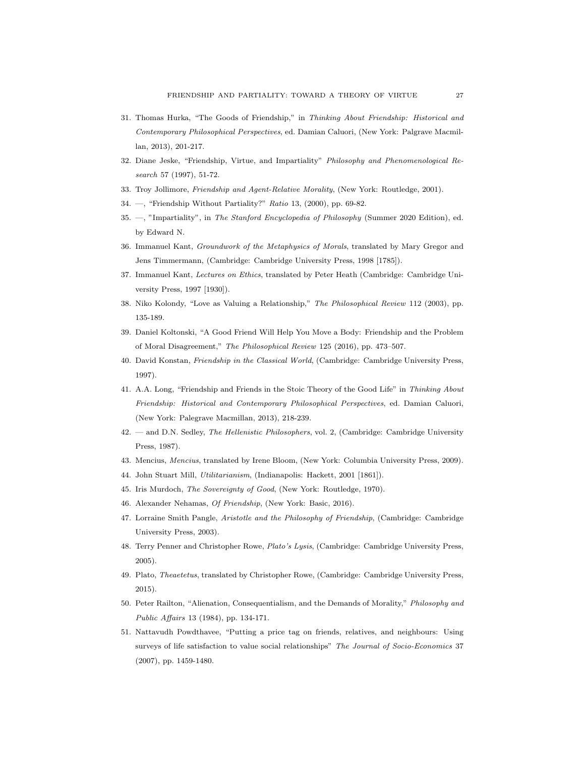- 31. Thomas Hurka, "The Goods of Friendship," in Thinking About Friendship: Historical and Contemporary Philosophical Perspectives, ed. Damian Caluori, (New York: Palgrave Macmillan, 2013), 201-217.
- 32. Diane Jeske, "Friendship, Virtue, and Impartiality" Philosophy and Phenomenological Research 57 (1997), 51-72.
- 33. Troy Jollimore, Friendship and Agent-Relative Morality, (New York: Routledge, 2001).
- 34. —, "Friendship Without Partiality?" Ratio 13, (2000), pp. 69-82.
- 35. —, "Impartiality", in The Stanford Encyclopedia of Philosophy (Summer 2020 Edition), ed. by Edward N.
- 36. Immanuel Kant, Groundwork of the Metaphysics of Morals, translated by Mary Gregor and Jens Timmermann, (Cambridge: Cambridge University Press, 1998 [1785]).
- 37. Immanuel Kant, Lectures on Ethics, translated by Peter Heath (Cambridge: Cambridge University Press, 1997 [1930]).
- 38. Niko Kolondy, "Love as Valuing a Relationship," The Philosophical Review 112 (2003), pp. 135-189.
- 39. Daniel Koltonski, "A Good Friend Will Help You Move a Body: Friendship and the Problem of Moral Disagreement," The Philosophical Review 125 (2016), pp. 473–507.
- 40. David Konstan, Friendship in the Classical World, (Cambridge: Cambridge University Press, 1997).
- 41. A.A. Long, "Friendship and Friends in the Stoic Theory of the Good Life" in Thinking About Friendship: Historical and Contemporary Philosophical Perspectives, ed. Damian Caluori, (New York: Palegrave Macmillan, 2013), 218-239.
- 42. and D.N. Sedley, The Hellenistic Philosophers, vol. 2, (Cambridge: Cambridge University Press, 1987).
- 43. Mencius, Mencius, translated by Irene Bloom, (New York: Columbia University Press, 2009).
- 44. John Stuart Mill, Utilitarianism, (Indianapolis: Hackett, 2001 [1861]).
- 45. Iris Murdoch, The Sovereignty of Good, (New York: Routledge, 1970).
- 46. Alexander Nehamas, Of Friendship, (New York: Basic, 2016).
- 47. Lorraine Smith Pangle, Aristotle and the Philosophy of Friendship, (Cambridge: Cambridge University Press, 2003).
- 48. Terry Penner and Christopher Rowe, Plato's Lysis, (Cambridge: Cambridge University Press, 2005).
- 49. Plato, Theaetetus, translated by Christopher Rowe, (Cambridge: Cambridge University Press, 2015).
- 50. Peter Railton, "Alienation, Consequentialism, and the Demands of Morality," Philosophy and Public Affairs 13 (1984), pp. 134-171.
- 51. Nattavudh Powdthavee, "Putting a price tag on friends, relatives, and neighbours: Using surveys of life satisfaction to value social relationships" The Journal of Socio-Economics 37 (2007), pp. 1459-1480.